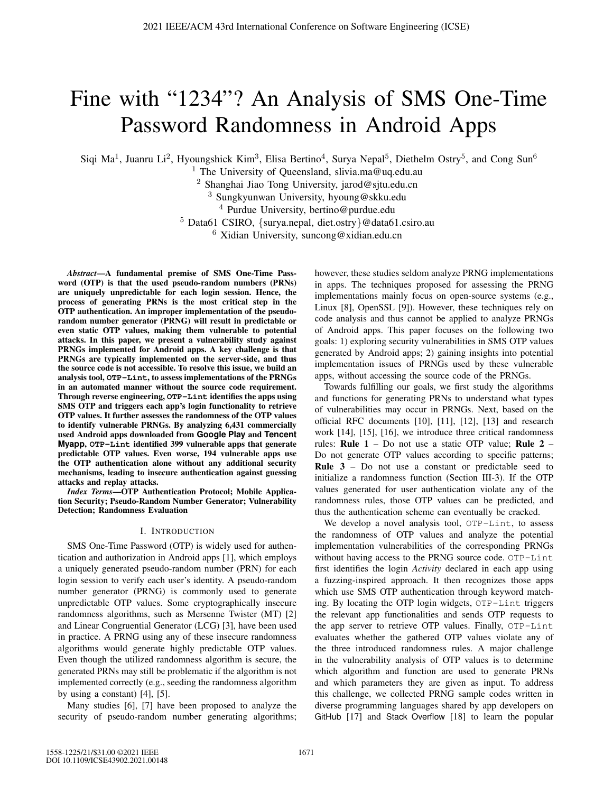# Fine with "1234"? An Analysis of SMS One-Time Password Randomness in Android Apps

Siqi Ma<sup>1</sup>, Juanru Li<sup>2</sup>, Hyoungshick Kim<sup>3</sup>, Elisa Bertino<sup>4</sup>, Surya Nepal<sup>5</sup>, Diethelm Ostry<sup>5</sup>, and Cong Sun<sup>6</sup>

<sup>1</sup> The University of Queensland, slivia.ma@uq.edu.au

<sup>2</sup> Shanghai Jiao Tong University, jarod@sjtu.edu.cn

<sup>3</sup> Sungkyunwan University, hyoung@skku.edu

<sup>4</sup> Purdue University, bertino@purdue.edu

 $5$  Data61 CSIRO, {surya.nepal, diet.ostry}@data61.csiro.au

 $6$  Xidian University, suncong@xidian.edu.cn

*Abstract*—A fundamental premise of SMS One-Time Password (OTP) is that the used pseudo-random numbers (PRNs) are uniquely unpredictable for each login session. Hence, the process of generating PRNs is the most critical step in the OTP authentication. An improper implementation of the pseudorandom number generator (PRNG) will result in predictable or even static OTP values, making them vulnerable to potential attacks. In this paper, we present a vulnerability study against PRNGs implemented for Android apps. A key challenge is that PRNGs are typically implemented on the server-side, and thus the source code is not accessible. To resolve this issue, we build an analysis tool, **OTP-Lint**, to assess implementations of the PRNGs in an automated manner without the source code requirement. Through reverse engineering, **OTP-Lint** identifies the apps using SMS OTP and triggers each app's login functionality to retrieve OTP values. It further assesses the randomness of the OTP values to identify vulnerable PRNGs. By analyzing 6,431 commercially used Android apps downloaded from **Google Play** and **Tencent Myapp**, **OTP-Lint** identified 399 vulnerable apps that generate predictable OTP values. Even worse, 194 vulnerable apps use the OTP authentication alone without any additional security mechanisms, leading to insecure authentication against guessing attacks and replay attacks.

*Index Terms*—OTP Authentication Protocol; Mobile Application Security; Pseudo-Random Number Generator; Vulnerability Detection; Randomness Evaluation

## I. INTRODUCTION

SMS One-Time Password (OTP) is widely used for authentication and authorization in Android apps [1], which employs a uniquely generated pseudo-random number (PRN) for each login session to verify each user's identity. A pseudo-random number generator (PRNG) is commonly used to generate unpredictable OTP values. Some cryptographically insecure randomness algorithms, such as Mersenne Twister (MT) [2] and Linear Congruential Generator (LCG) [3], have been used in practice. A PRNG using any of these insecure randomness algorithms would generate highly predictable OTP values. Even though the utilized randomness algorithm is secure, the generated PRNs may still be problematic if the algorithm is not implemented correctly (e.g., seeding the randomness algorithm by using a constant) [4], [5].

Many studies [6], [7] have been proposed to analyze the security of pseudo-random number generating algorithms; however, these studies seldom analyze PRNG implementations in apps. The techniques proposed for assessing the PRNG implementations mainly focus on open-source systems (e.g., Linux [8], OpenSSL [9]). However, these techniques rely on code analysis and thus cannot be applied to analyze PRNGs of Android apps. This paper focuses on the following two goals: 1) exploring security vulnerabilities in SMS OTP values generated by Android apps; 2) gaining insights into potential implementation issues of PRNGs used by these vulnerable apps, without accessing the source code of the PRNGs.

Towards fulfilling our goals, we first study the algorithms and functions for generating PRNs to understand what types of vulnerabilities may occur in PRNGs. Next, based on the official RFC documents [10], [11], [12], [13] and research work [14], [15], [16], we introduce three critical randomness rules: Rule  $1 - Do$  not use a static OTP value; Rule  $2 -$ Do not generate OTP values according to specific patterns; Rule 3 – Do not use a constant or predictable seed to initialize a randomness function (Section III-3). If the OTP values generated for user authentication violate any of the randomness rules, those OTP values can be predicted, and thus the authentication scheme can eventually be cracked.

We develop a novel analysis tool, OTP-Lint, to assess the randomness of OTP values and analyze the potential implementation vulnerabilities of the corresponding PRNGs without having access to the PRNG source code. OTP-Lint first identifies the login *Activity* declared in each app using a fuzzing-inspired approach. It then recognizes those apps which use SMS OTP authentication through keyword matching. By locating the OTP login widgets, OTP-Lint triggers the relevant app functionalities and sends OTP requests to the app server to retrieve OTP values. Finally, OTP-Lint evaluates whether the gathered OTP values violate any of the three introduced randomness rules. A major challenge in the vulnerability analysis of OTP values is to determine which algorithm and function are used to generate PRNs and which parameters they are given as input. To address this challenge, we collected PRNG sample codes written in diverse programming languages shared by app developers on GitHub [17] and Stack Overflow [18] to learn the popular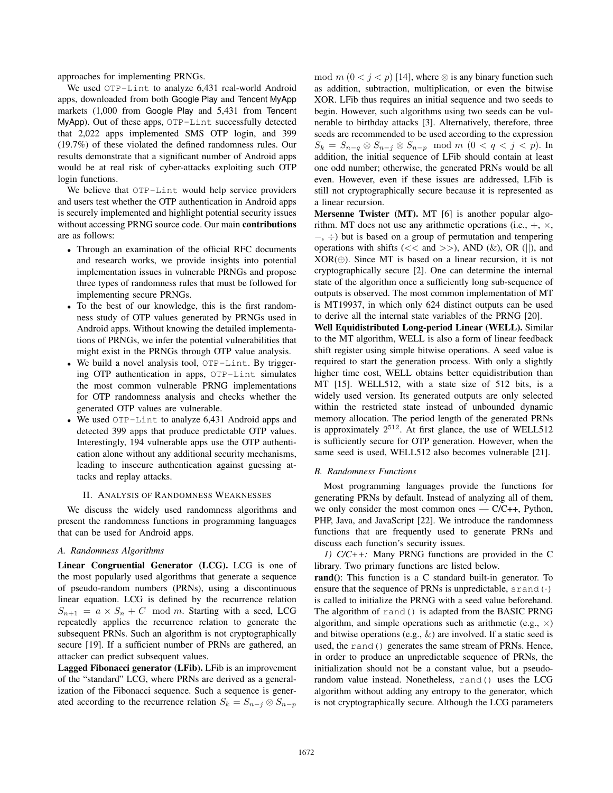approaches for implementing PRNGs.

We used OTP-Lint to analyze 6,431 real-world Android apps, downloaded from both Google Play and Tencent MyApp markets (1,000 from Google Play and 5,431 from Tencent MyApp). Out of these apps, OTP-Lint successfully detected that 2,022 apps implemented SMS OTP login, and 399 (19.7%) of these violated the defined randomness rules. Our results demonstrate that a significant number of Android apps would be at real risk of cyber-attacks exploiting such OTP login functions.

We believe that OTP-Lint would help service providers and users test whether the OTP authentication in Android apps is securely implemented and highlight potential security issues without accessing PRNG source code. Our main contributions are as follows:

- Through an examination of the official RFC documents and research works, we provide insights into potential implementation issues in vulnerable PRNGs and propose three types of randomness rules that must be followed for implementing secure PRNGs.
- To the best of our knowledge, this is the first randomness study of OTP values generated by PRNGs used in Android apps. Without knowing the detailed implementations of PRNGs, we infer the potential vulnerabilities that might exist in the PRNGs through OTP value analysis.
- We build a novel analysis tool, OTP-Lint. By triggering OTP authentication in apps, OTP-Lint simulates the most common vulnerable PRNG implementations for OTP randomness analysis and checks whether the generated OTP values are vulnerable.
- We used OTP-Lint to analyze 6,431 Android apps and detected 399 apps that produce predictable OTP values. Interestingly, 194 vulnerable apps use the OTP authentication alone without any additional security mechanisms, leading to insecure authentication against guessing attacks and replay attacks.

## II. ANALYSIS OF RANDOMNESS WEAKNESSES

We discuss the widely used randomness algorithms and present the randomness functions in programming languages that can be used for Android apps.

## *A. Randomness Algorithms*

Linear Congruential Generator (LCG). LCG is one of the most popularly used algorithms that generate a sequence of pseudo-random numbers (PRNs), using a discontinuous linear equation. LCG is defined by the recurrence relation  $S_{n+1} = a \times S_n + C \mod m$ . Starting with a seed, LCG repeatedly applies the recurrence relation to generate the subsequent PRNs. Such an algorithm is not cryptographically secure [19]. If a sufficient number of PRNs are gathered, an attacker can predict subsequent values.

Lagged Fibonacci generator (LFib). LFib is an improvement of the "standard" LCG, where PRNs are derived as a generalization of the Fibonacci sequence. Such a sequence is generated according to the recurrence relation  $S_k = S_{n-j} \otimes S_{n-p}$ 

mod  $m (0 < j < p)$  [14], where ⊗ is any binary function such as addition, subtraction, multiplication, or even the bitwise XOR. LFib thus requires an initial sequence and two seeds to begin. However, such algorithms using two seeds can be vulnerable to birthday attacks [3]. Alternatively, therefore, three seeds are recommended to be used according to the expression  $S_k = S_{n-q} \otimes S_{n-j} \otimes S_{n-p} \mod m \ (0 < q < j < p).$  In addition, the initial sequence of LFib should contain at least one odd number; otherwise, the generated PRNs would be all even. However, even if these issues are addressed, LFib is still not cryptographically secure because it is represented as a linear recursion.

Mersenne Twister (MT). MT [6] is another popular algorithm. MT does not use any arithmetic operations (i.e.,  $+$ ,  $\times$ , −, ÷) but is based on a group of permutation and tempering operations with shifts ( $<<$  and  $>>$ ), AND ( $\&$ ), OR (||), and  $XOR(\oplus)$ . Since MT is based on a linear recursion, it is not cryptographically secure [2]. One can determine the internal state of the algorithm once a sufficiently long sub-sequence of outputs is observed. The most common implementation of MT is MT19937, in which only 624 distinct outputs can be used to derive all the internal state variables of the PRNG [20].

Well Equidistributed Long-period Linear (WELL). Similar to the MT algorithm, WELL is also a form of linear feedback shift register using simple bitwise operations. A seed value is required to start the generation process. With only a slightly higher time cost, WELL obtains better equidistribution than MT [15]. WELL512, with a state size of 512 bits, is a widely used version. Its generated outputs are only selected within the restricted state instead of unbounded dynamic memory allocation. The period length of the generated PRNs is approximately  $2^{512}$ . At first glance, the use of WELL512 is sufficiently secure for OTP generation. However, when the same seed is used, WELL512 also becomes vulnerable [21].

## *B. Randomness Functions*

Most programming languages provide the functions for generating PRNs by default. Instead of analyzing all of them, we only consider the most common ones  $-C/C_{++}$ , Python, PHP, Java, and JavaScript [22]. We introduce the randomness functions that are frequently used to generate PRNs and discuss each function's security issues.

*1) C/C++:* Many PRNG functions are provided in the C library. Two primary functions are listed below.

rand(): This function is a C standard built-in generator. To ensure that the sequence of PRNs is unpredictable,  $s$  r and  $(·)$ is called to initialize the PRNG with a seed value beforehand. The algorithm of rand() is adapted from the BASIC PRNG algorithm, and simple operations such as arithmetic (e.g.,  $\times$ ) and bitwise operations (e.g.,  $\&$ ) are involved. If a static seed is used, the rand() generates the same stream of PRNs. Hence, in order to produce an unpredictable sequence of PRNs, the initialization should not be a constant value, but a pseudorandom value instead. Nonetheless, rand() uses the LCG algorithm without adding any entropy to the generator, which is not cryptographically secure. Although the LCG parameters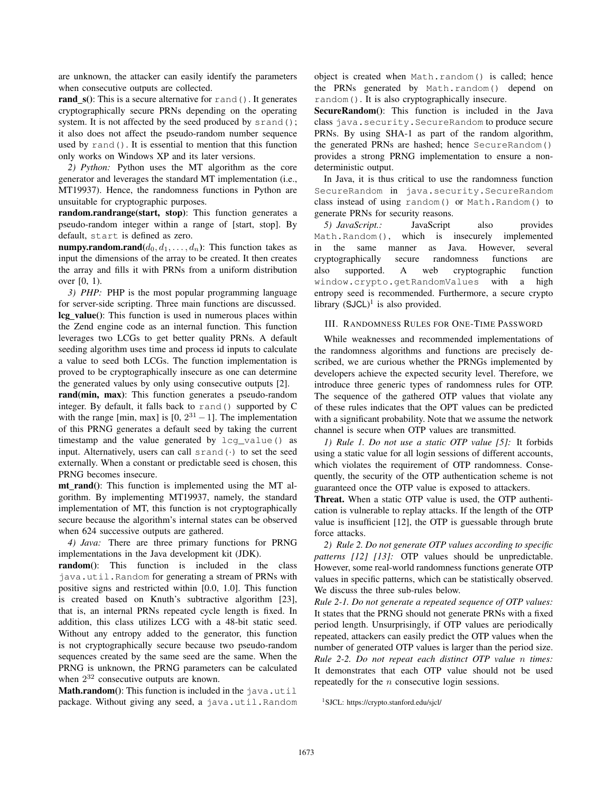are unknown, the attacker can easily identify the parameters when consecutive outputs are collected.

rand  $s()$ : This is a secure alternative for rand(). It generates cryptographically secure PRNs depending on the operating system. It is not affected by the seed produced by srand(); it also does not affect the pseudo-random number sequence used by rand(). It is essential to mention that this function only works on Windows XP and its later versions.

*2) Python:* Python uses the MT algorithm as the core generator and leverages the standard MT implementation (i.e., MT19937). Hence, the randomness functions in Python are unsuitable for cryptographic purposes.

random.randrange(start, stop): This function generates a pseudo-random integer within a range of [start, stop]. By default, start is defined as zero.

numpy.random.rand $(d_0, d_1, \ldots, d_n)$ : This function takes as input the dimensions of the array to be created. It then creates the array and fills it with PRNs from a uniform distribution over [0, 1).

*3) PHP:* PHP is the most popular programming language for server-side scripting. Three main functions are discussed. lcg value(): This function is used in numerous places within the Zend engine code as an internal function. This function leverages two LCGs to get better quality PRNs. A default seeding algorithm uses time and process id inputs to calculate a value to seed both LCGs. The function implementation is proved to be cryptographically insecure as one can determine the generated values by only using consecutive outputs [2].

rand(min, max): This function generates a pseudo-random integer. By default, it falls back to rand() supported by C with the range [min, max] is  $[0, 2^{31} - 1]$ . The implementation of this PRNG generates a default seed by taking the current timestamp and the value generated by lcg\_value() as input. Alternatively, users can call  $s$ rand $(·)$  to set the seed externally. When a constant or predictable seed is chosen, this PRNG becomes insecure.

mt rand(): This function is implemented using the MT algorithm. By implementing MT19937, namely, the standard implementation of MT, this function is not cryptographically secure because the algorithm's internal states can be observed when 624 successive outputs are gathered.

*4) Java:* There are three primary functions for PRNG implementations in the Java development kit (JDK).

random(): This function is included in the class java.util.Random for generating a stream of PRNs with positive signs and restricted within [0.0, 1.0]. This function is created based on Knuth's subtractive algorithm [23], that is, an internal PRNs repeated cycle length is fixed. In addition, this class utilizes LCG with a 48-bit static seed. Without any entropy added to the generator, this function is not cryptographically secure because two pseudo-random sequences created by the same seed are the same. When the PRNG is unknown, the PRNG parameters can be calculated when  $2^{32}$  consecutive outputs are known.

**Math.random**(): This function is included in the  $j$ ava.util package. Without giving any seed, a java.util.Random object is created when Math.random() is called; hence the PRNs generated by Math.random() depend on random(). It is also cryptographically insecure.

SecureRandom(): This function is included in the Java class java.security.SecureRandom to produce secure PRNs. By using SHA-1 as part of the random algorithm, the generated PRNs are hashed; hence SecureRandom() provides a strong PRNG implementation to ensure a nondeterministic output.

In Java, it is thus critical to use the randomness function SecureRandom in java.security.SecureRandom class instead of using random() or Math.Random() to generate PRNs for security reasons.

*5) JavaScript.:* JavaScript also provides Math.Random(), which is insecurely implemented in the same manner as Java. However, several cryptographically secure randomness functions are also supported. A web cryptographic function window.crypto.getRandomValues with a high entropy seed is recommended. Furthermore, a secure crypto library  $(SJCL)^1$  is also provided.

# III. RANDOMNESS RULES FOR ONE-TIME PASSWORD

While weaknesses and recommended implementations of the randomness algorithms and functions are precisely described, we are curious whether the PRNGs implemented by developers achieve the expected security level. Therefore, we introduce three generic types of randomness rules for OTP. The sequence of the gathered OTP values that violate any of these rules indicates that the OPT values can be predicted with a significant probability. Note that we assume the network channel is secure when OTP values are transmitted.

*1) Rule 1. Do not use a static OTP value [5]:* It forbids using a static value for all login sessions of different accounts, which violates the requirement of OTP randomness. Consequently, the security of the OTP authentication scheme is not guaranteed once the OTP value is exposed to attackers.

Threat. When a static OTP value is used, the OTP authentication is vulnerable to replay attacks. If the length of the OTP value is insufficient [12], the OTP is guessable through brute force attacks.

*2) Rule 2. Do not generate OTP values according to specific patterns [12] [13]:* OTP values should be unpredictable. However, some real-world randomness functions generate OTP values in specific patterns, which can be statistically observed. We discuss the three sub-rules below.

*Rule 2-1. Do not generate a repeated sequence of OTP values:* It states that the PRNG should not generate PRNs with a fixed period length. Unsurprisingly, if OTP values are periodically repeated, attackers can easily predict the OTP values when the number of generated OTP values is larger than the period size. *Rule 2-2. Do not repeat each distinct OTP value* n *times:* It demonstrates that each OTP value should not be used repeatedly for the  $n$  consecutive login sessions.

<sup>1</sup>SJCL: https://crypto.stanford.edu/sjcl/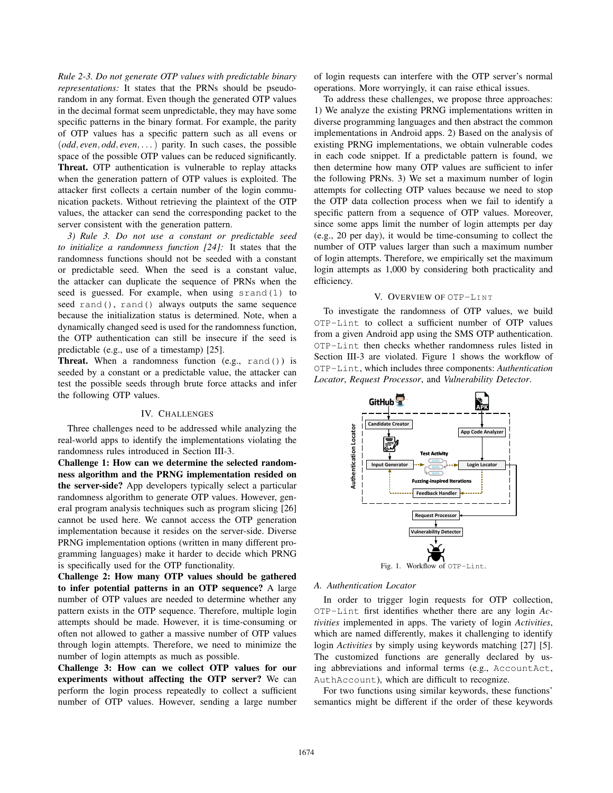*Rule 2-3. Do not generate OTP values with predictable binary representations:* It states that the PRNs should be pseudorandom in any format. Even though the generated OTP values in the decimal format seem unpredictable, they may have some specific patterns in the binary format. For example, the parity of OTP values has a specific pattern such as all evens or (*odd*, *even*, *odd*, *even*, . . .) parity. In such cases, the possible space of the possible OTP values can be reduced significantly. Threat. OTP authentication is vulnerable to replay attacks when the generation pattern of OTP values is exploited. The attacker first collects a certain number of the login communication packets. Without retrieving the plaintext of the OTP values, the attacker can send the corresponding packet to the server consistent with the generation pattern.

*3) Rule 3. Do not use a constant or predictable seed to initialize a randomness function [24]:* It states that the randomness functions should not be seeded with a constant or predictable seed. When the seed is a constant value, the attacker can duplicate the sequence of PRNs when the seed is guessed. For example, when using srand(1) to seed rand(), rand() always outputs the same sequence because the initialization status is determined. Note, when a dynamically changed seed is used for the randomness function, the OTP authentication can still be insecure if the seed is predictable (e.g., use of a timestamp) [25].

Threat. When a randomness function (e.g., rand()) is seeded by a constant or a predictable value, the attacker can test the possible seeds through brute force attacks and infer the following OTP values.

#### IV. CHALLENGES

Three challenges need to be addressed while analyzing the real-world apps to identify the implementations violating the randomness rules introduced in Section III-3.

Challenge 1: How can we determine the selected randomness algorithm and the PRNG implementation resided on the server-side? App developers typically select a particular randomness algorithm to generate OTP values. However, general program analysis techniques such as program slicing [26] cannot be used here. We cannot access the OTP generation implementation because it resides on the server-side. Diverse PRNG implementation options (written in many different programming languages) make it harder to decide which PRNG is specifically used for the OTP functionality.

Challenge 2: How many OTP values should be gathered to infer potential patterns in an OTP sequence? A large number of OTP values are needed to determine whether any pattern exists in the OTP sequence. Therefore, multiple login attempts should be made. However, it is time-consuming or often not allowed to gather a massive number of OTP values through login attempts. Therefore, we need to minimize the number of login attempts as much as possible.

Challenge 3: How can we collect OTP values for our experiments without affecting the OTP server? We can perform the login process repeatedly to collect a sufficient number of OTP values. However, sending a large number

of login requests can interfere with the OTP server's normal operations. More worryingly, it can raise ethical issues.

To address these challenges, we propose three approaches: 1) We analyze the existing PRNG implementations written in diverse programming languages and then abstract the common implementations in Android apps. 2) Based on the analysis of existing PRNG implementations, we obtain vulnerable codes in each code snippet. If a predictable pattern is found, we then determine how many OTP values are sufficient to infer the following PRNs. 3) We set a maximum number of login attempts for collecting OTP values because we need to stop the OTP data collection process when we fail to identify a specific pattern from a sequence of OTP values. Moreover, since some apps limit the number of login attempts per day (e.g., 20 per day), it would be time-consuming to collect the number of OTP values larger than such a maximum number of login attempts. Therefore, we empirically set the maximum login attempts as 1,000 by considering both practicality and efficiency.

# V. OVERVIEW OF OTP-LINT

To investigate the randomness of OTP values, we build OTP-Lint to collect a sufficient number of OTP values from a given Android app using the SMS OTP authentication. OTP-Lint then checks whether randomness rules listed in Section III-3 are violated. Figure 1 shows the workflow of OTP-Lint, which includes three components: *Authentication Locator*, *Request Processor*, and *Vulnerability Detector*.



#### *A. Authentication Locator*

In order to trigger login requests for OTP collection, OTP-Lint first identifies whether there are any login *Activities* implemented in apps. The variety of login *Activities*, which are named differently, makes it challenging to identify login *Activities* by simply using keywords matching [27] [5]. The customized functions are generally declared by using abbreviations and informal terms (e.g., AccountAct, AuthAccount), which are difficult to recognize.

For two functions using similar keywords, these functions' semantics might be different if the order of these keywords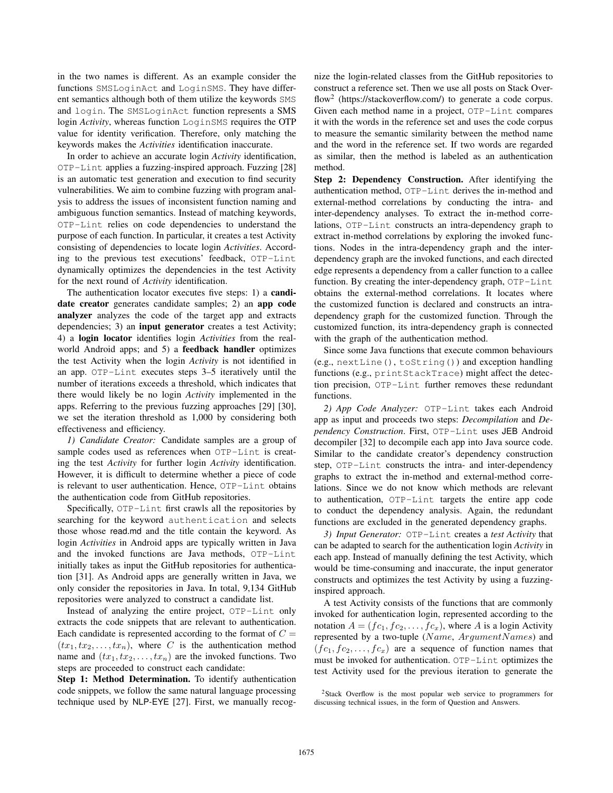in the two names is different. As an example consider the functions SMSLoginAct and LoginSMS. They have different semantics although both of them utilize the keywords SMS and login. The SMSLoginAct function represents a SMS login *Activity*, whereas function LoginSMS requires the OTP value for identity verification. Therefore, only matching the keywords makes the *Activities* identification inaccurate.

In order to achieve an accurate login *Activity* identification, OTP-Lint applies a fuzzing-inspired approach. Fuzzing [28] is an automatic test generation and execution to find security vulnerabilities. We aim to combine fuzzing with program analysis to address the issues of inconsistent function naming and ambiguous function semantics. Instead of matching keywords, OTP-Lint relies on code dependencies to understand the purpose of each function. In particular, it creates a test Activity consisting of dependencies to locate login *Activities*. According to the previous test executions' feedback, OTP-Lint dynamically optimizes the dependencies in the test Activity for the next round of *Activity* identification.

The authentication locator executes five steps: 1) a **candi**date creator generates candidate samples; 2) an app code analyzer analyzes the code of the target app and extracts dependencies; 3) an input generator creates a test Activity; 4) a login locator identifies login *Activities* from the realworld Android apps; and 5) a feedback handler optimizes the test Activity when the login *Activity* is not identified in an app. OTP-Lint executes steps 3–5 iteratively until the number of iterations exceeds a threshold, which indicates that there would likely be no login *Activity* implemented in the apps. Referring to the previous fuzzing approaches [29] [30], we set the iteration threshold as 1,000 by considering both effectiveness and efficiency.

*1) Candidate Creator:* Candidate samples are a group of sample codes used as references when OTP-Lint is creating the test *Activity* for further login *Activity* identification. However, it is difficult to determine whether a piece of code is relevant to user authentication. Hence, OTP-Lint obtains the authentication code from GitHub repositories.

Specifically, OTP-Lint first crawls all the repositories by searching for the keyword authentication and selects those whose read.md and the title contain the keyword. As login *Activities* in Android apps are typically written in Java and the invoked functions are Java methods, OTP-Lint initially takes as input the GitHub repositories for authentication [31]. As Android apps are generally written in Java, we only consider the repositories in Java. In total, 9,134 GitHub repositories were analyzed to construct a candidate list.

Instead of analyzing the entire project, OTP-Lint only extracts the code snippets that are relevant to authentication. Each candidate is represented according to the format of  $C =$  $(tx_1, tx_2, \ldots, tx_n)$ , where C is the authentication method name and  $(tx_1, tx_2, \ldots, tx_n)$  are the invoked functions. Two steps are proceeded to construct each candidate:

Step 1: Method Determination. To identify authentication code snippets, we follow the same natural language processing technique used by NLP-EYE [27]. First, we manually recog-

nize the login-related classes from the GitHub repositories to construct a reference set. Then we use all posts on Stack Overflow<sup>2</sup> (https://stackoverflow.com/) to generate a code corpus. Given each method name in a project, OTP-Lint compares it with the words in the reference set and uses the code corpus to measure the semantic similarity between the method name and the word in the reference set. If two words are regarded as similar, then the method is labeled as an authentication method.

Step 2: Dependency Construction. After identifying the authentication method, OTP-Lint derives the in-method and external-method correlations by conducting the intra- and inter-dependency analyses. To extract the in-method correlations, OTP-Lint constructs an intra-dependency graph to extract in-method correlations by exploring the invoked functions. Nodes in the intra-dependency graph and the interdependency graph are the invoked functions, and each directed edge represents a dependency from a caller function to a callee function. By creating the inter-dependency graph, OTP-Lint obtains the external-method correlations. It locates where the customized function is declared and constructs an intradependency graph for the customized function. Through the customized function, its intra-dependency graph is connected with the graph of the authentication method.

Since some Java functions that execute common behaviours (e.g., nextLine(), toString()) and exception handling functions (e.g., printStackTrace) might affect the detection precision, OTP-Lint further removes these redundant functions.

*2) App Code Analyzer:* OTP-Lint takes each Android app as input and proceeds two steps: *Decompilation* and *Dependency Construction*. First, OTP-Lint uses JEB Android decompiler [32] to decompile each app into Java source code. Similar to the candidate creator's dependency construction step, OTP-Lint constructs the intra- and inter-dependency graphs to extract the in-method and external-method correlations. Since we do not know which methods are relevant to authentication, OTP-Lint targets the entire app code to conduct the dependency analysis. Again, the redundant functions are excluded in the generated dependency graphs.

*3) Input Generator:* OTP-Lint creates a *test Activity* that can be adapted to search for the authentication login *Activity* in each app. Instead of manually defining the test Activity, which would be time-consuming and inaccurate, the input generator constructs and optimizes the test Activity by using a fuzzinginspired approach.

A test Activity consists of the functions that are commonly invoked for authentication login, represented according to the notation  $A = (fc_1, fc_2, \ldots, fc_x)$ , where A is a login Activity represented by a two-tuple (Name,  $ArgumentNames$ ) and  $(f c_1, f c_2, \ldots, f c_x)$  are a sequence of function names that must be invoked for authentication. OTP-Lint optimizes the test Activity used for the previous iteration to generate the

<sup>2</sup>Stack Overflow is the most popular web service to programmers for discussing technical issues, in the form of Question and Answers.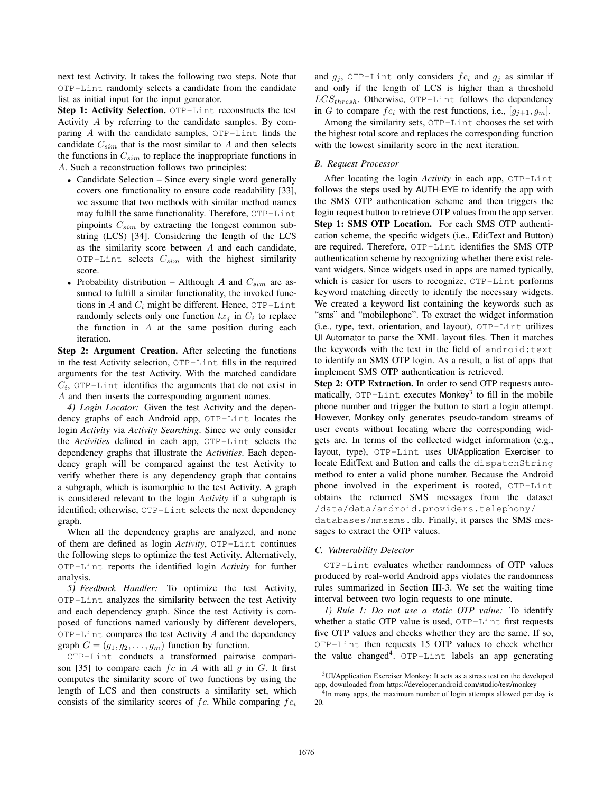next test Activity. It takes the following two steps. Note that OTP-Lint randomly selects a candidate from the candidate list as initial input for the input generator.

Step 1: Activity Selection. OTP-Lint reconstructs the test Activity A by referring to the candidate samples. By comparing  $A$  with the candidate samples,  $OP$ -Lint finds the candidate  $C_{sim}$  that is the most similar to A and then selects the functions in  $C_{sim}$  to replace the inappropriate functions in A. Such a reconstruction follows two principles:

- Candidate Selection Since every single word generally covers one functionality to ensure code readability [33], we assume that two methods with similar method names may fulfill the same functionality. Therefore, OTP-Lint pinpoints  $C_{sim}$  by extracting the longest common substring (LCS) [34]. Considering the length of the LCS as the similarity score between  $A$  and each candidate, OTP-Lint selects  $C_{sim}$  with the highest similarity score.
- Probability distribution Although A and  $C_{sim}$  are assumed to fulfill a similar functionality, the invoked functions in  $A$  and  $C_i$  might be different. Hence, OTP-Lint randomly selects only one function  $tx_j$  in  $C_i$  to replace the function in  $A$  at the same position during each iteration.

Step 2: Argument Creation. After selecting the functions in the test Activity selection, OTP-Lint fills in the required arguments for the test Activity. With the matched candidate  $C_i$ , OTP-Lint identifies the arguments that do not exist in A and then inserts the corresponding argument names.

*4) Login Locator:* Given the test Activity and the dependency graphs of each Android app, OTP-Lint locates the login *Activity* via *Activity Searching*. Since we only consider the *Activities* defined in each app, OTP-Lint selects the dependency graphs that illustrate the *Activities*. Each dependency graph will be compared against the test Activity to verify whether there is any dependency graph that contains a subgraph, which is isomorphic to the test Activity. A graph is considered relevant to the login *Activity* if a subgraph is identified; otherwise, OTP-Lint selects the next dependency graph.

When all the dependency graphs are analyzed, and none of them are defined as login *Activity*, OTP-Lint continues the following steps to optimize the test Activity. Alternatively, OTP-Lint reports the identified login *Activity* for further analysis.

*5) Feedback Handler:* To optimize the test Activity, OTP-Lint analyzes the similarity between the test Activity and each dependency graph. Since the test Activity is composed of functions named variously by different developers,  $OTP-Lint$  compares the test Activity  $A$  and the dependency graph  $G = (g_1, g_2, \dots, g_m)$  function by function.

OTP-Lint conducts a transformed pairwise comparison [35] to compare each  $fc$  in A with all  $g$  in  $G$ . It first computes the similarity score of two functions by using the length of LCS and then constructs a similarity set, which consists of the similarity scores of  $fc$ . While comparing  $fc_i$ 

and  $g_j$ , OTP-Lint only considers  $fc_i$  and  $g_j$  as similar if and only if the length of LCS is higher than a threshold  $LCS_{thresh}$ . Otherwise, OTP-Lint follows the dependency in G to compare  $fc_i$  with the rest functions, i.e.,  $[g_{i+1}, g_m]$ .

Among the similarity sets, OTP-Lint chooses the set with the highest total score and replaces the corresponding function with the lowest similarity score in the next iteration.

## *B. Request Processor*

After locating the login *Activity* in each app, OTP-Lint follows the steps used by AUTH-EYE to identify the app with the SMS OTP authentication scheme and then triggers the login request button to retrieve OTP values from the app server. Step 1: SMS OTP Location. For each SMS OTP authentication scheme, the specific widgets (i.e., EditText and Button) are required. Therefore, OTP-Lint identifies the SMS OTP authentication scheme by recognizing whether there exist relevant widgets. Since widgets used in apps are named typically, which is easier for users to recognize, OTP-Lint performs keyword matching directly to identify the necessary widgets. We created a keyword list containing the keywords such as "sms" and "mobilephone". To extract the widget information (i.e., type, text, orientation, and layout), OTP-Lint utilizes UI Automator to parse the XML layout files. Then it matches the keywords with the text in the field of android:text to identify an SMS OTP login. As a result, a list of apps that implement SMS OTP authentication is retrieved.

Step 2: OTP Extraction. In order to send OTP requests automatically,  $\text{OPT-Link}$  executes Monkey<sup>3</sup> to fill in the mobile phone number and trigger the button to start a login attempt. However, Monkey only generates pseudo-random streams of user events without locating where the corresponding widgets are. In terms of the collected widget information (e.g., layout, type), OTP-Lint uses UI/Application Exerciser to locate EditText and Button and calls the dispatchString method to enter a valid phone number. Because the Android phone involved in the experiment is rooted, OTP-Lint obtains the returned SMS messages from the dataset /data/data/android.providers.telephony/ databases/mmssms.db. Finally, it parses the SMS messages to extract the OTP values.

### *C. Vulnerability Detector*

OTP-Lint evaluates whether randomness of OTP values produced by real-world Android apps violates the randomness rules summarized in Section III-3. We set the waiting time interval between two login requests to one minute.

*1) Rule 1: Do not use a static OTP value:* To identify whether a static OTP value is used, OTP-Lint first requests five OTP values and checks whether they are the same. If so, OTP-Lint then requests 15 OTP values to check whether the value changed<sup>4</sup>. OTP-Lint labels an app generating

<sup>&</sup>lt;sup>3</sup>UI/Application Exerciser Monkey: It acts as a stress test on the developed app, downloaded from https://developer.android.com/studio/test/monkey

<sup>&</sup>lt;sup>4</sup>In many apps, the maximum number of login attempts allowed per day is 20.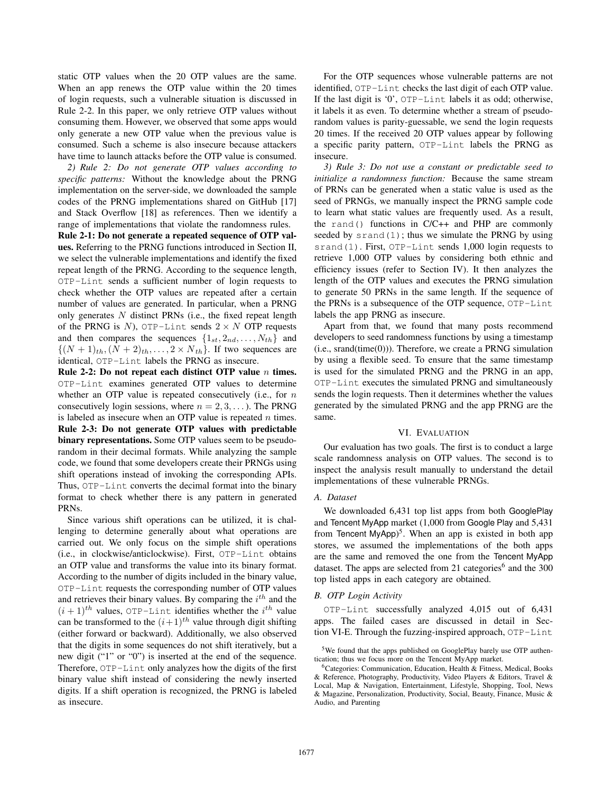static OTP values when the 20 OTP values are the same. When an app renews the OTP value within the 20 times of login requests, such a vulnerable situation is discussed in Rule 2-2. In this paper, we only retrieve OTP values without consuming them. However, we observed that some apps would only generate a new OTP value when the previous value is consumed. Such a scheme is also insecure because attackers have time to launch attacks before the OTP value is consumed.

*2) Rule 2: Do not generate OTP values according to specific patterns:* Without the knowledge about the PRNG implementation on the server-side, we downloaded the sample codes of the PRNG implementations shared on GitHub [17] and Stack Overflow [18] as references. Then we identify a range of implementations that violate the randomness rules.

Rule 2-1: Do not generate a repeated sequence of OTP values. Referring to the PRNG functions introduced in Section II, we select the vulnerable implementations and identify the fixed repeat length of the PRNG. According to the sequence length, OTP-Lint sends a sufficient number of login requests to check whether the OTP values are repeated after a certain number of values are generated. In particular, when a PRNG only generates  $N$  distinct PRNs (i.e., the fixed repeat length of the PRNG is N), OTP-Lint sends  $2 \times N$  OTP requests and then compares the sequences  $\{1_{st}, 2_{nd}, \ldots, N_{th}\}$  and  $\{(N+1)<sub>th</sub>, (N+2)<sub>th</sub>, \ldots, 2 \times N<sub>th</sub>\}.$  If two sequences are identical, OTP-Lint labels the PRNG as insecure.

Rule 2-2: Do not repeat each distinct OTP value  $n$  times. OTP-Lint examines generated OTP values to determine whether an OTP value is repeated consecutively (i.e., for  $n$ consecutively login sessions, where  $n = 2, 3, \dots$ ). The PRNG is labeled as insecure when an OTP value is repeated  $n$  times. Rule 2-3: Do not generate OTP values with predictable binary representations. Some OTP values seem to be pseudorandom in their decimal formats. While analyzing the sample code, we found that some developers create their PRNGs using shift operations instead of invoking the corresponding APIs. Thus, OTP-Lint converts the decimal format into the binary format to check whether there is any pattern in generated PRNs.

Since various shift operations can be utilized, it is challenging to determine generally about what operations are carried out. We only focus on the simple shift operations (i.e., in clockwise/anticlockwise). First, OTP-Lint obtains an OTP value and transforms the value into its binary format. According to the number of digits included in the binary value, OTP-Lint requests the corresponding number of OTP values and retrieves their binary values. By comparing the  $i^{th}$  and the  $(i+1)$ <sup>th</sup> values, OTP-Lint identifies whether the i<sup>th</sup> value can be transformed to the  $(i+1)^{th}$  value through digit shifting (either forward or backward). Additionally, we also observed that the digits in some sequences do not shift iteratively, but a new digit ("1" or "0") is inserted at the end of the sequence. Therefore, OTP-Lint only analyzes how the digits of the first binary value shift instead of considering the newly inserted digits. If a shift operation is recognized, the PRNG is labeled as insecure.

For the OTP sequences whose vulnerable patterns are not identified, OTP-Lint checks the last digit of each OTP value. If the last digit is '0', OTP-Lint labels it as odd; otherwise, it labels it as even. To determine whether a stream of pseudorandom values is parity-guessable, we send the login requests 20 times. If the received 20 OTP values appear by following a specific parity pattern, OTP-Lint labels the PRNG as insecure.

*3) Rule 3: Do not use a constant or predictable seed to initialize a randomness function:* Because the same stream of PRNs can be generated when a static value is used as the seed of PRNGs, we manually inspect the PRNG sample code to learn what static values are frequently used. As a result, the rand() functions in C/C++ and PHP are commonly seeded by  $s$  rand(1); thus we simulate the PRNG by using srand(1). First, OTP-Lint sends 1,000 login requests to retrieve 1,000 OTP values by considering both ethnic and efficiency issues (refer to Section IV). It then analyzes the length of the OTP values and executes the PRNG simulation to generate 50 PRNs in the same length. If the sequence of the PRNs is a subsequence of the OTP sequence, OTP-Lint labels the app PRNG as insecure.

Apart from that, we found that many posts recommend developers to seed randomness functions by using a timestamp  $(i.e., grand(time(0)))$ . Therefore, we create a PRNG simulation by using a flexible seed. To ensure that the same timestamp is used for the simulated PRNG and the PRNG in an app, OTP-Lint executes the simulated PRNG and simultaneously sends the login requests. Then it determines whether the values generated by the simulated PRNG and the app PRNG are the same.

## VI. EVALUATION

Our evaluation has two goals. The first is to conduct a large scale randomness analysis on OTP values. The second is to inspect the analysis result manually to understand the detail implementations of these vulnerable PRNGs.

# *A. Dataset*

We downloaded 6,431 top list apps from both GooglePlay and Tencent MyApp market (1,000 from Google Play and 5,431 from Tencent MyApp)<sup>5</sup>. When an app is existed in both app stores, we assumed the implementations of the both apps are the same and removed the one from the Tencent MyApp dataset. The apps are selected from 21 categories<sup>6</sup> and the 300 top listed apps in each category are obtained.

# *B. OTP Login Activity*

OTP-Lint successfully analyzed 4,015 out of 6,431 apps. The failed cases are discussed in detail in Section VI-E. Through the fuzzing-inspired approach, OTP-Lint

<sup>&</sup>lt;sup>5</sup>We found that the apps published on GooglePlay barely use OTP authentication; thus we focus more on the Tencent MyApp market.

<sup>6</sup>Categories: Communication, Education, Health & Fitness, Medical, Books & Reference, Photography, Productivity, Video Players & Editors, Travel & Local, Map & Navigation, Entertainment, Lifestyle, Shopping, Tool, News & Magazine, Personalization, Productivity, Social, Beauty, Finance, Music & Audio, and Parenting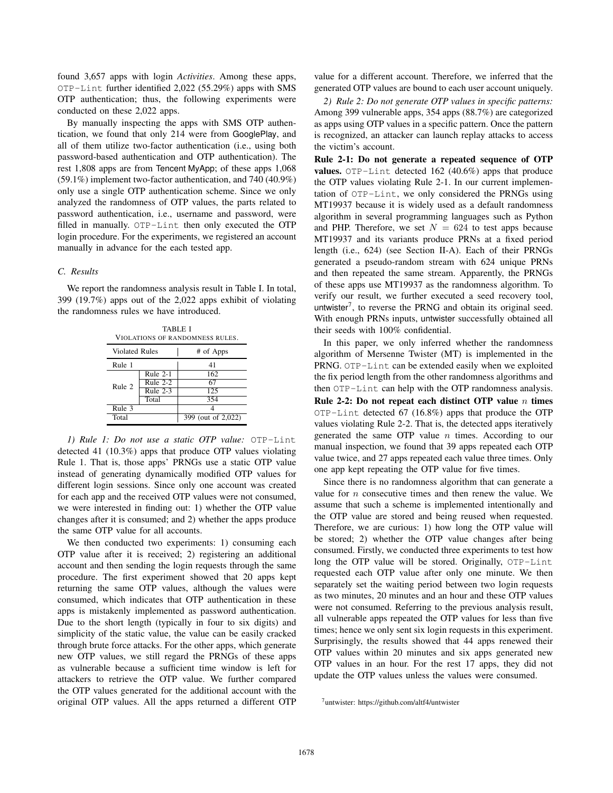found 3,657 apps with login *Activities*. Among these apps, OTP-Lint further identified 2,022 (55.29%) apps with SMS OTP authentication; thus, the following experiments were conducted on these 2,022 apps.

By manually inspecting the apps with SMS OTP authentication, we found that only 214 were from GooglePlay, and all of them utilize two-factor authentication (i.e., using both password-based authentication and OTP authentication). The rest 1,808 apps are from Tencent MyApp; of these apps 1,068 (59.1%) implement two-factor authentication, and 740 (40.9%) only use a single OTP authentication scheme. Since we only analyzed the randomness of OTP values, the parts related to password authentication, i.e., username and password, were filled in manually. OTP-Lint then only executed the OTP login procedure. For the experiments, we registered an account manually in advance for the each tested app.

## *C. Results*

We report the randomness analysis result in Table I. In total, 399 (19.7%) apps out of the 2,022 apps exhibit of violating the randomness rules we have introduced.

| <b>TABLE I</b><br>VIOLATIONS OF RANDOMNESS RULES. |            |                                  |  |  |  |
|---------------------------------------------------|------------|----------------------------------|--|--|--|
| <b>Violated Rules</b>                             |            | # of Apps                        |  |  |  |
| Rule 1                                            |            | 41                               |  |  |  |
| Rule 2                                            | Rule 2-1   | 162                              |  |  |  |
|                                                   | Rule $2-2$ | 67                               |  |  |  |
|                                                   | Rule $2-3$ | 125                              |  |  |  |
|                                                   | Total      | 354                              |  |  |  |
| Rule 3                                            |            |                                  |  |  |  |
| Total                                             |            | 399 (out of $2,\overline{022}$ ) |  |  |  |

*1) Rule 1: Do not use a static OTP value:* OTP-Lint detected 41 (10.3%) apps that produce OTP values violating Rule 1. That is, those apps' PRNGs use a static OTP value instead of generating dynamically modified OTP values for different login sessions. Since only one account was created for each app and the received OTP values were not consumed, we were interested in finding out: 1) whether the OTP value changes after it is consumed; and 2) whether the apps produce the same OTP value for all accounts.

We then conducted two experiments: 1) consuming each OTP value after it is received; 2) registering an additional account and then sending the login requests through the same procedure. The first experiment showed that 20 apps kept returning the same OTP values, although the values were consumed, which indicates that OTP authentication in these apps is mistakenly implemented as password authentication. Due to the short length (typically in four to six digits) and simplicity of the static value, the value can be easily cracked through brute force attacks. For the other apps, which generate new OTP values, we still regard the PRNGs of these apps as vulnerable because a sufficient time window is left for attackers to retrieve the OTP value. We further compared the OTP values generated for the additional account with the original OTP values. All the apps returned a different OTP

value for a different account. Therefore, we inferred that the generated OTP values are bound to each user account uniquely.

*2) Rule 2: Do not generate OTP values in specific patterns:* Among 399 vulnerable apps, 354 apps (88.7%) are categorized as apps using OTP values in a specific pattern. Once the pattern is recognized, an attacker can launch replay attacks to access the victim's account.

Rule 2-1: Do not generate a repeated sequence of OTP values. OTP-Lint detected 162 (40.6%) apps that produce the OTP values violating Rule 2-1. In our current implementation of OTP-Lint, we only considered the PRNGs using MT19937 because it is widely used as a default randomness algorithm in several programming languages such as Python and PHP. Therefore, we set  $N = 624$  to test apps because MT19937 and its variants produce PRNs at a fixed period length (i.e., 624) (see Section II-A). Each of their PRNGs generated a pseudo-random stream with 624 unique PRNs and then repeated the same stream. Apparently, the PRNGs of these apps use MT19937 as the randomness algorithm. To verify our result, we further executed a seed recovery tool, untwister<sup>7</sup>, to reverse the PRNG and obtain its original seed. With enough PRNs inputs, untwister successfully obtained all their seeds with 100% confidential.

In this paper, we only inferred whether the randomness algorithm of Mersenne Twister (MT) is implemented in the PRNG. OTP-Lint can be extended easily when we exploited the fix period length from the other randomness algorithms and then OTP-Lint can help with the OTP randomness analysis. Rule 2-2: Do not repeat each distinct OTP value  $n$  times OTP-Lint detected 67 (16.8%) apps that produce the OTP values violating Rule 2-2. That is, the detected apps iteratively generated the same OTP value  $n$  times. According to our manual inspection, we found that 39 apps repeated each OTP value twice, and 27 apps repeated each value three times. Only one app kept repeating the OTP value for five times.

Since there is no randomness algorithm that can generate a value for  $n$  consecutive times and then renew the value. We assume that such a scheme is implemented intentionally and the OTP value are stored and being reused when requested. Therefore, we are curious: 1) how long the OTP value will be stored; 2) whether the OTP value changes after being consumed. Firstly, we conducted three experiments to test how long the OTP value will be stored. Originally, OTP-Lint requested each OTP value after only one minute. We then separately set the waiting period between two login requests as two minutes, 20 minutes and an hour and these OTP values were not consumed. Referring to the previous analysis result, all vulnerable apps repeated the OTP values for less than five times; hence we only sent six login requests in this experiment. Surprisingly, the results showed that 44 apps renewed their OTP values within 20 minutes and six apps generated new OTP values in an hour. For the rest 17 apps, they did not update the OTP values unless the values were consumed.

<sup>7</sup>untwister: https://github.com/altf4/untwister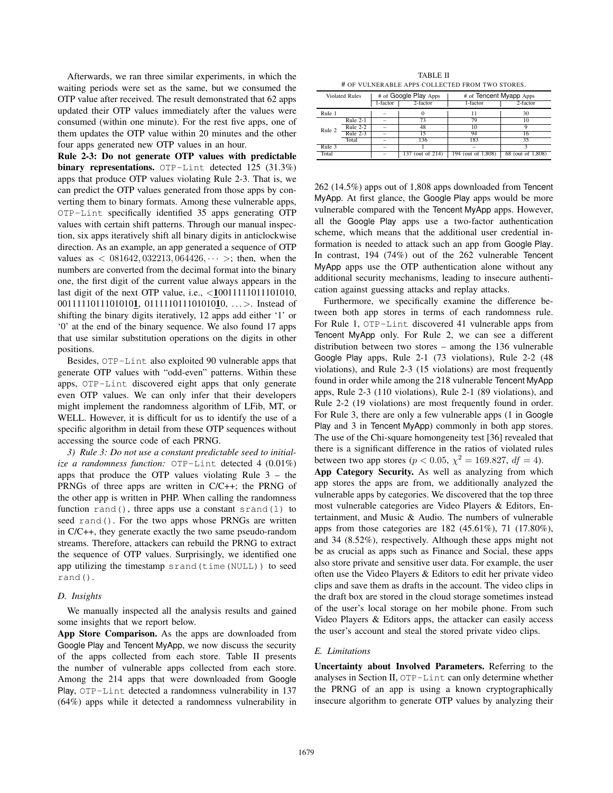Afterwards, we ran three similar experiments, in which the waiting periods were set as the same, but we consumed the OTP value after received. The result demonstrated that 62 apps updated their OTP values immediately after the values were consumed (within one minute). For the rest five apps, one of them updates the OTP value within 20 minutes and the other four apps generated new OTP values in an hour.

Rule 2-3: Do not generate OTP values with predictable binary representations. OTP-Lint detected 125 (31.3%) apps that produce OTP values violating Rule 2-3. That is, we can predict the OTP values generated from those apps by converting them to binary formats. Among these vulnerable apps, OTP-Lint specifically identified 35 apps generating OTP values with certain shift patterns. Through our manual inspection, six apps iteratively shift all binary digits in anticlockwise direction. As an example, an app generated a sequence of OTP values as  $\langle 0.081642, 0.032213, 0.064426, \cdots \rangle$ ; then, when the numbers are converted from the decimal format into the binary one, the first digit of the current value always appears in the last digit of the next OTP value, i.e., <10011111011101010, 00111110111010101, 01111101110101010, ... >. Instead of shifting the binary digits iteratively, 12 apps add either '1' or '0' at the end of the binary sequence. We also found 17 apps that use similar substitution operations on the digits in other positions.

Besides, OTP-Lint also exploited 90 vulnerable apps that generate OTP values with "odd-even" patterns. Within these apps, OTP-Lint discovered eight apps that only generate even OTP values. We can only infer that their developers might implement the randomness algorithm of LFib, MT, or WELL. However, it is difficult for us to identify the use of a specific algorithm in detail from these OTP sequences without accessing the source code of each PRNG.

*3) Rule 3: Do not use a constant predictable seed to initialize a randomness function:* OTP-Lint detected 4 (0.01%) apps that produce the OTP values violating Rule 3 – the PRNGs of three apps are written in C/C++; the PRNG of the other app is written in PHP. When calling the randomness function rand(), three apps use a constant srand(1) to seed rand(). For the two apps whose PRNGs are written in C/C++, they generate exactly the two same pseudo-random streams. Therefore, attackers can rebuild the PRNG to extract the sequence of OTP values. Surprisingly, we identified one app utilizing the timestamp srand(time(NULL)) to seed rand().

### *D. Insights*

We manually inspected all the analysis results and gained some insights that we report below.

App Store Comparison. As the apps are downloaded from Google Play and Tencent MyApp, we now discuss the security of the apps collected from each store. Table II presents the number of vulnerable apps collected from each store. Among the 214 apps that were downloaded from Google Play, OTP-Lint detected a randomness vulnerability in 137 (64%) apps while it detected a randomness vulnerability in

TABLE II # OF VULNERABLE APPS COLLECTED FROM TWO STORES.

| Violated Rules |            | # of Google Play Apps<br>$2$ -factor<br>1-factor |                  | # of Tencent Myapp Apps<br>2-factor<br>1-factor |                   |
|----------------|------------|--------------------------------------------------|------------------|-------------------------------------------------|-------------------|
| Rule 1         |            |                                                  |                  | 11                                              | 30                |
| Rule 2         | Rule $2-1$ |                                                  | 73               | 79                                              |                   |
|                | Rule $2-2$ |                                                  | 48               | 10                                              |                   |
|                | Rule $2-3$ |                                                  | 15               | 94                                              |                   |
|                | Total      |                                                  | 136              | 183                                             | 35                |
| Rule 3         |            |                                                  |                  |                                                 |                   |
| Total          |            |                                                  | 137 (out of 214) | 194 (out of 1,808)                              | 68 (out of 1,808) |

262 (14.5%) apps out of 1,808 apps downloaded from Tencent MyApp. At first glance, the Google Play apps would be more vulnerable compared with the Tencent MyApp apps. However, all the Google Play apps use a two-factor authentication scheme, which means that the additional user credential information is needed to attack such an app from Google Play. In contrast, 194 (74%) out of the 262 vulnerable Tencent MyApp apps use the OTP authentication alone without any additional security mechanisms, leading to insecure authentication against guessing attacks and replay attacks.

Furthermore, we specifically examine the difference between both app stores in terms of each randomness rule. For Rule 1, OTP-Lint discovered 41 vulnerable apps from Tencent MyApp only. For Rule 2, we can see a different distribution between two stores – among the 136 vulnerable Google Play apps, Rule 2-1 (73 violations), Rule 2-2 (48 violations), and Rule 2-3 (15 violations) are most frequently found in order while among the 218 vulnerable Tencent MyApp apps, Rule 2-3 (110 violations), Rule 2-1 (89 violations), and Rule 2-2 (19 violations) are most frequently found in order. For Rule 3, there are only a few vulnerable apps (1 in Google Play and 3 in Tencent MyApp) commonly in both app stores. The use of the Chi-square homongeneity test [36] revealed that there is a significant difference in the ratios of violated rules between two app stores ( $p < 0.05$ ,  $\chi^2 = 169.827$ ,  $df = 4$ ). App Category Security. As well as analyzing from which app stores the apps are from, we additionally analyzed the vulnerable apps by categories. We discovered that the top three most vulnerable categories are Video Players & Editors, Entertainment, and Music & Audio. The numbers of vulnerable apps from those categories are 182 (45.61%), 71 (17.80%), and 34 (8.52%), respectively. Although these apps might not be as crucial as apps such as Finance and Social, these apps also store private and sensitive user data. For example, the user often use the Video Players & Editors to edit her private video clips and save them as drafts in the account. The video clips in

the draft box are stored in the cloud storage sometimes instead of the user's local storage on her mobile phone. From such Video Players & Editors apps, the attacker can easily access the user's account and steal the stored private video clips.

## *E. Limitations*

Uncertainty about Involved Parameters. Referring to the analyses in Section II, OTP-Lint can only determine whether the PRNG of an app is using a known cryptographically insecure algorithm to generate OTP values by analyzing their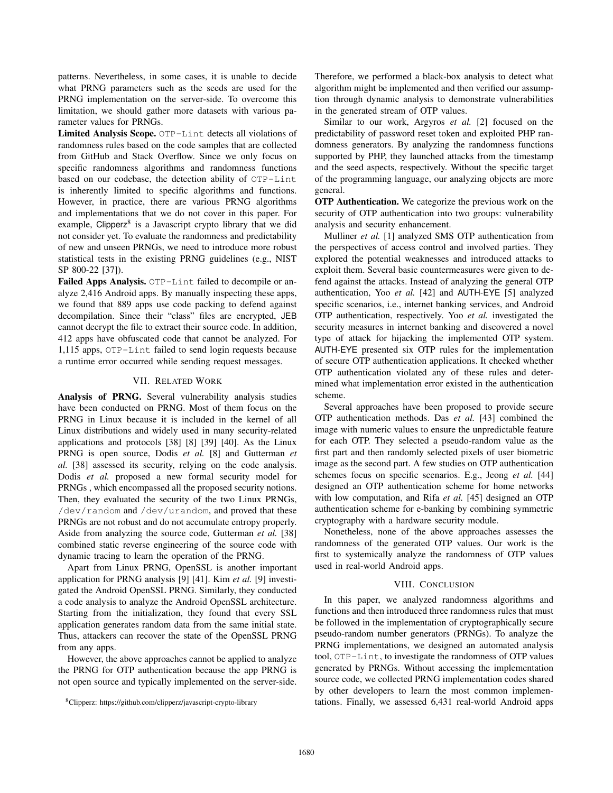patterns. Nevertheless, in some cases, it is unable to decide what PRNG parameters such as the seeds are used for the PRNG implementation on the server-side. To overcome this limitation, we should gather more datasets with various parameter values for PRNGs.

Limited Analysis Scope. OTP-Lint detects all violations of randomness rules based on the code samples that are collected from GitHub and Stack Overflow. Since we only focus on specific randomness algorithms and randomness functions based on our codebase, the detection ability of OTP-Lint is inherently limited to specific algorithms and functions. However, in practice, there are various PRNG algorithms and implementations that we do not cover in this paper. For example, Clipperz<sup>8</sup> is a Javascript crypto library that we did not consider yet. To evaluate the randomness and predictability of new and unseen PRNGs, we need to introduce more robust statistical tests in the existing PRNG guidelines (e.g., NIST SP 800-22 [37]).

Failed Apps Analysis. OTP-Lint failed to decompile or analyze 2,416 Android apps. By manually inspecting these apps, we found that 889 apps use code packing to defend against decompilation. Since their "class" files are encrypted, JEB cannot decrypt the file to extract their source code. In addition, 412 apps have obfuscated code that cannot be analyzed. For 1,115 apps, OTP-Lint failed to send login requests because a runtime error occurred while sending request messages.

# VII. RELATED WORK

Analysis of PRNG. Several vulnerability analysis studies have been conducted on PRNG. Most of them focus on the PRNG in Linux because it is included in the kernel of all Linux distributions and widely used in many security-related applications and protocols [38] [8] [39] [40]. As the Linux PRNG is open source, Dodis *et al.* [8] and Gutterman *et al.* [38] assessed its security, relying on the code analysis. Dodis *et al.* proposed a new formal security model for PRNGs , which encompassed all the proposed security notions. Then, they evaluated the security of the two Linux PRNGs, /dev/random and /dev/urandom, and proved that these PRNGs are not robust and do not accumulate entropy properly. Aside from analyzing the source code, Gutterman *et al.* [38] combined static reverse engineering of the source code with dynamic tracing to learn the operation of the PRNG.

Apart from Linux PRNG, OpenSSL is another important application for PRNG analysis [9] [41]. Kim *et al.* [9] investigated the Android OpenSSL PRNG. Similarly, they conducted a code analysis to analyze the Android OpenSSL architecture. Starting from the initialization, they found that every SSL application generates random data from the same initial state. Thus, attackers can recover the state of the OpenSSL PRNG from any apps.

However, the above approaches cannot be applied to analyze the PRNG for OTP authentication because the app PRNG is not open source and typically implemented on the server-side.

Therefore, we performed a black-box analysis to detect what algorithm might be implemented and then verified our assumption through dynamic analysis to demonstrate vulnerabilities in the generated stream of OTP values.

Similar to our work, Argyros *et al.* [2] focused on the predictability of password reset token and exploited PHP randomness generators. By analyzing the randomness functions supported by PHP, they launched attacks from the timestamp and the seed aspects, respectively. Without the specific target of the programming language, our analyzing objects are more general.

OTP Authentication. We categorize the previous work on the security of OTP authentication into two groups: vulnerability analysis and security enhancement.

Mulliner *et al.* [1] analyzed SMS OTP authentication from the perspectives of access control and involved parties. They explored the potential weaknesses and introduced attacks to exploit them. Several basic countermeasures were given to defend against the attacks. Instead of analyzing the general OTP authentication, Yoo *et al.* [42] and AUTH-EYE [5] analyzed specific scenarios, i.e., internet banking services, and Android OTP authentication, respectively. Yoo *et al.* investigated the security measures in internet banking and discovered a novel type of attack for hijacking the implemented OTP system. AUTH-EYE presented six OTP rules for the implementation of secure OTP authentication applications. It checked whether OTP authentication violated any of these rules and determined what implementation error existed in the authentication scheme.

Several approaches have been proposed to provide secure OTP authentication methods. Das *et al.* [43] combined the image with numeric values to ensure the unpredictable feature for each OTP. They selected a pseudo-random value as the first part and then randomly selected pixels of user biometric image as the second part. A few studies on OTP authentication schemes focus on specific scenarios. E.g., Jeong *et al.* [44] designed an OTP authentication scheme for home networks with low computation, and Rifa *et al.* [45] designed an OTP authentication scheme for e-banking by combining symmetric cryptography with a hardware security module.

Nonetheless, none of the above approaches assesses the randomness of the generated OTP values. Our work is the first to systemically analyze the randomness of OTP values used in real-world Android apps.

# VIII. CONCLUSION

In this paper, we analyzed randomness algorithms and functions and then introduced three randomness rules that must be followed in the implementation of cryptographically secure pseudo-random number generators (PRNGs). To analyze the PRNG implementations, we designed an automated analysis tool, OTP-Lint, to investigate the randomness of OTP values generated by PRNGs. Without accessing the implementation source code, we collected PRNG implementation codes shared by other developers to learn the most common implementations. Finally, we assessed 6,431 real-world Android apps

<sup>8</sup>Clipperz: https://github.com/clipperz/javascript-crypto-library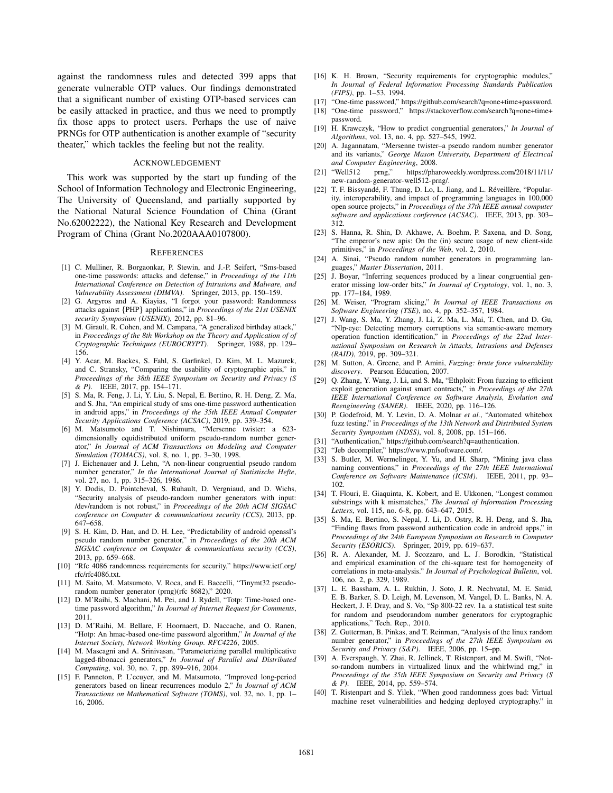against the randomness rules and detected 399 apps that generate vulnerable OTP values. Our findings demonstrated that a significant number of existing OTP-based services can be easily attacked in practice, and thus we need to promptly fix those apps to protect users. Perhaps the use of naive PRNGs for OTP authentication is another example of "security theater," which tackles the feeling but not the reality.

### ACKNOWLEDGEMENT

This work was supported by the start up funding of the School of Information Technology and Electronic Engineering, The University of Queensland, and partially supported by the National Natural Science Foundation of China (Grant No.62002222), the National Key Research and Development Program of China (Grant No.2020AAA0107800).

#### **REFERENCES**

- [1] C. Mulliner, R. Borgaonkar, P. Stewin, and J.-P. Seifert, "Sms-based one-time passwords: attacks and defense," in *Proceedings of the 11th International Conference on Detection of Intrusions and Malware, and Vulnerability Assessment (DIMVA)*. Springer, 2013, pp. 150–159.
- [2] G. Argyros and A. Kiayias, "I forgot your password: Randomness attacks against {PHP} applications," in *Proceedings of the 21st USENIX security Symposium (USENIX)*, 2012, pp. 81–96.
- [3] M. Girault, R. Cohen, and M. Campana, "A generalized birthday attack," in *Proceedings of the 8th Workshop on the Theory and Application of of Cryptographic Techniques (EUROCRYPT)*. Springer, 1988, pp. 129– 156.
- [4] Y. Acar, M. Backes, S. Fahl, S. Garfinkel, D. Kim, M. L. Mazurek, and C. Stransky, "Comparing the usability of cryptographic apis," in *Proceedings of the 38th IEEE Symposium on Security and Privacy (S & P)*. IEEE, 2017, pp. 154–171.
- [5] S. Ma, R. Feng, J. Li, Y. Liu, S. Nepal, E. Bertino, R. H. Deng, Z. Ma, and S. Jha, "An empirical study of sms one-time password authentication in android apps," in *Proceedings of the 35th IEEE Annual Computer Security Applications Conference (ACSAC)*, 2019, pp. 339–354.
- [6] M. Matsumoto and T. Nishimura, "Mersenne twister: a 623 dimensionally equidistributed uniform pseudo-random number generator," *In Journal of ACM Transactions on Modeling and Computer Simulation (TOMACS)*, vol. 8, no. 1, pp. 3–30, 1998.
- [7] J. Eichenauer and J. Lehn, "A non-linear congruential pseudo random number generator," *In the International Journal of Statistische Hefte*, vol. 27, no. 1, pp. 315–326, 1986.
- [8] Y. Dodis, D. Pointcheval, S. Ruhault, D. Vergniaud, and D. Wichs, "Security analysis of pseudo-random number generators with input: /dev/random is not robust," in *Proceedings of the 20th ACM SIGSAC conference on Computer & communications security (CCS)*, 2013, pp. 647–658.
- [9] S. H. Kim, D. Han, and D. H. Lee, "Predictability of android openssl's pseudo random number generator," in *Proceedings of the 20th ACM SIGSAC conference on Computer & communications security (CCS)*, 2013, pp. 659–668.
- [10] "Rfc 4086 randomness requirements for security," https://www.ietf.org/ rfc/rfc4086.txt.
- [11] M. Saito, M. Matsumoto, V. Roca, and E. Baccelli, "Tinymt32 pseudorandom number generator (prng)(rfc 8682)," 2020.
- [12] D. M'Raihi, S. Machani, M. Pei, and J. Rydell, "Totp: Time-based onetime password algorithm," *In Journal of Internet Request for Comments*, 2011.
- [13] D. M'Raihi, M. Bellare, F. Hoornaert, D. Naccache, and O. Ranen, "Hotp: An hmac-based one-time password algorithm," *In Journal of the Internet Society, Network Working Group. RFC4226*, 2005.
- [14] M. Mascagni and A. Srinivasan, "Parameterizing parallel multiplicative lagged-fibonacci generators," *In Journal of Parallel and Distributed Computing*, vol. 30, no. 7, pp. 899–916, 2004.
- [15] F. Panneton, P. L'ecuyer, and M. Matsumoto, "Improved long-period generators based on linear recurrences modulo 2," *In Journal of ACM Transactions on Mathematical Software (TOMS)*, vol. 32, no. 1, pp. 1– 16, 2006.
- [16] K. H. Brown, "Security requirements for cryptographic modules," *In Journal of Federal Information Processing Standards Publication (FIPS)*, pp. 1–53, 1994.
- [17] "One-time password," https://github.com/search?q=one+time+password.
- [18] "One-time password," https://stackoverflow.com/search?q=one+time+ password.
- [19] H. Krawczyk, "How to predict congruential generators," *In Journal of Algorithms*, vol. 13, no. 4, pp. 527–545, 1992.
- [20] A. Jagannatam, "Mersenne twister–a pseudo random number generator and its variants," *George Mason University, Department of Electrical and Computer Engineering*, 2008.
- [21] "Well512 prng," https://pharoweekly.wordpress.com/2018/11/11/ new-random-generator-well512-prng/.
- [22] T. F. Bissyandé, F. Thung, D. Lo, L. Jiang, and L. Réveillère, "Popularity, interoperability, and impact of programming languages in 100,000 open source projects," in *Proceedings of the 37th IEEE annual computer software and applications conference (ACSAC)*. IEEE, 2013, pp. 303– 312.
- [23] S. Hanna, R. Shin, D. Akhawe, A. Boehm, P. Saxena, and D. Song, "The emperor's new apis: On the (in) secure usage of new client-side primitives," in *Proceedings of the Web*, vol. 2, 2010.
- [24] A. Sinai, "Pseudo random number generators in programming languages," *Master Dissertation*, 2011.
- [25] J. Boyar, "Inferring sequences produced by a linear congruential generator missing low-order bits," *In Journal of Cryptology*, vol. 1, no. 3, pp. 177–184, 1989.
- [26] M. Weiser, "Program slicing," *In Journal of IEEE Transactions on Software Engineering (TSE)*, no. 4, pp. 352–357, 1984.
- [27] J. Wang, S. Ma, Y. Zhang, J. Li, Z. Ma, L. Mai, T. Chen, and D. Gu, "Nlp-eye: Detecting memory corruptions via semantic-aware memory operation function identification," in *Proceedings of the 22nd International Symposium on Research in Attacks, Intrusions and Defenses (RAID)*, 2019, pp. 309–321.
- [28] M. Sutton, A. Greene, and P. Amini, *Fuzzing: brute force vulnerability discovery*. Pearson Education, 2007.
- [29] Q. Zhang, Y. Wang, J. Li, and S. Ma, "Ethploit: From fuzzing to efficient exploit generation against smart contracts," in *Proceedings of the 27th IEEE International Conference on Software Analysis, Evolution and Reengineering (SANER)*. IEEE, 2020, pp. 116–126.
- [30] P. Godefroid, M. Y. Levin, D. A. Molnar *et al.*, "Automated whitebox fuzz testing." in *Proceedings of the 13th Network and Distributed System Security Symposium (NDSS)*, vol. 8, 2008, pp. 151–166.
- [31] "Authentication," https://github.com/search?q=authentication.
- [32] "Jeb decompiler," https://www.pnfsoftware.com/.
- [33] S. Butler, M. Wermelinger, Y. Yu, and H. Sharp, "Mining java class naming conventions," in *Proceedings of the 27th IEEE International Conference on Software Maintenance (ICSM)*. IEEE, 2011, pp. 93– 102.
- [34] T. Flouri, E. Giaquinta, K. Kobert, and E. Ukkonen, "Longest common substrings with k mismatches," *The Journal of Information Processing Letters*, vol. 115, no. 6-8, pp. 643–647, 2015.
- [35] S. Ma, E. Bertino, S. Nepal, J. Li, D. Ostry, R. H. Deng, and S. Jha, "Finding flaws from password authentication code in android apps," in *Proceedings of the 24th European Symposium on Research in Computer Security (ESORICS)*. Springer, 2019, pp. 619–637.
- [36] R. A. Alexander, M. J. Scozzaro, and L. J. Borodkin, "Statistical and empirical examination of the chi-square test for homogeneity of correlations in meta-analysis." *In Journal of Psychological Bulletin*, vol. 106, no. 2, p. 329, 1989.
- [37] L. E. Bassham, A. L. Rukhin, J. Soto, J. R. Nechvatal, M. E. Smid, E. B. Barker, S. D. Leigh, M. Levenson, M. Vangel, D. L. Banks, N. A. Heckert, J. F. Dray, and S. Vo, "Sp 800-22 rev. 1a. a statistical test suite for random and pseudorandom number generators for cryptographic applications," Tech. Rep., 2010.
- [38] Z. Gutterman, B. Pinkas, and T. Reinman, "Analysis of the linux random number generator," in *Proceedings of the 27th IEEE Symposium on Security and Privacy (S&P)*. IEEE, 2006, pp. 15–pp.
- [39] A. Everspaugh, Y. Zhai, R. Jellinek, T. Ristenpart, and M. Swift, "Notso-random numbers in virtualized linux and the whirlwind rng," in *Proceedings of the 35th IEEE Symposium on Security and Privacy (S & P)*. IEEE, 2014, pp. 559–574.
- [40] T. Ristenpart and S. Yilek, "When good randomness goes bad: Virtual machine reset vulnerabilities and hedging deployed cryptography." in